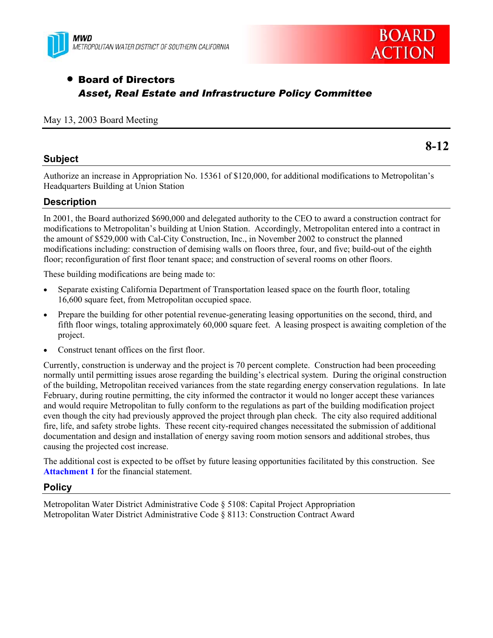



# **• Board of Directors** *Asset, Real Estate and Infrastructure Policy Committee*

#### May 13, 2003 Board Meeting

#### **Subject**

**8-12** 

Authorize an increase in Appropriation No. 15361 of \$120,000, for additional modifications to Metropolitan's Headquarters Building at Union Station

#### **Description**

In 2001, the Board authorized \$690,000 and delegated authority to the CEO to award a construction contract for modifications to Metropolitan's building at Union Station. Accordingly, Metropolitan entered into a contract in the amount of \$529,000 with Cal-City Construction, Inc., in November 2002 to construct the planned modifications including: construction of demising walls on floors three, four, and five; build-out of the eighth floor; reconfiguration of first floor tenant space; and construction of several rooms on other floors.

These building modifications are being made to:

- Separate existing California Department of Transportation leased space on the fourth floor, totaling 16,600 square feet, from Metropolitan occupied space.
- Prepare the building for other potential revenue-generating leasing opportunities on the second, third, and fifth floor wings, totaling approximately 60,000 square feet. A leasing prospect is awaiting completion of the project.
- Construct tenant offices on the first floor.

Currently, construction is underway and the project is 70 percent complete. Construction had been proceeding normally until permitting issues arose regarding the building's electrical system. During the original construction of the building, Metropolitan received variances from the state regarding energy conservation regulations. In late February, during routine permitting, the city informed the contractor it would no longer accept these variances and would require Metropolitan to fully conform to the regulations as part of the building modification project even though the city had previously approved the project through plan check. The city also required additional fire, life, and safety strobe lights. These recent city-required changes necessitated the submission of additional documentation and design and installation of energy saving room motion sensors and additional strobes, thus causing the projected cost increase.

The additional cost is expected to be offset by future leasing opportunities facilitated by this construction. See **Attachment 1** for the financial statement.

#### **Policy**

Metropolitan Water District Administrative Code § 5108: Capital Project Appropriation Metropolitan Water District Administrative Code § 8113: Construction Contract Award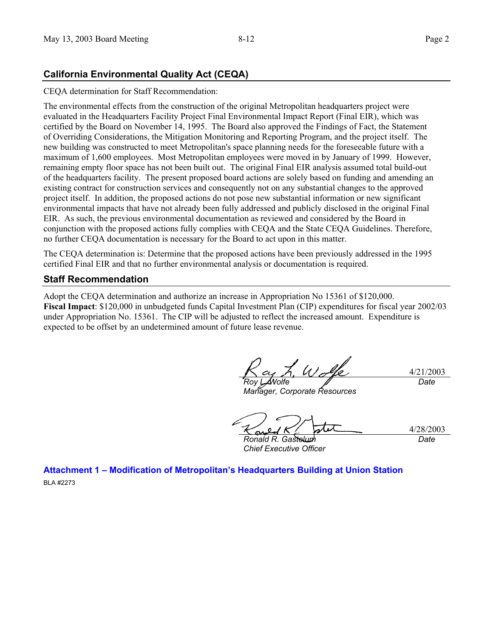### **California Environmental Quality Act (CEQA)**

CEQA determination for Staff Recommendation:

The environmental effects from the construction of the original Metropolitan headquarters project were evaluated in the Headquarters Facility Project Final Environmental Impact Report (Final EIR), which was certified by the Board on November 14, 1995. The Board also approved the Findings of Fact, the Statement of Overriding Considerations, the Mitigation Monitoring and Reporting Program, and the project itself. The new building was constructed to meet Metropolitan's space planning needs for the foreseeable future with a maximum of 1,600 employees. Most Metropolitan employees were moved in by January of 1999. However, remaining empty floor space has not been built out. The original Final EIR analysis assumed total build-out of the headquarters facility. The present proposed board actions are solely based on funding and amending an existing contract for construction services and consequently not on any substantial changes to the approved project itself. In addition, the proposed actions do not pose new substantial information or new significant environmental impacts that have not already been fully addressed and publicly disclosed in the original Final EIR. As such, the previous environmental documentation as reviewed and considered by the Board in conjunction with the proposed actions fully complies with CEQA and the State CEQA Guidelines. Therefore, no further CEQA documentation is necessary for the Board to act upon in this matter.

The CEQA determination is: Determine that the proposed actions have been previously addressed in the 1995 certified Final EIR and that no further environmental analysis or documentation is required.

#### **Staff Recommendation**

Adopt the CEQA determination and authorize an increase in Appropriation No 15361 of \$120,000. **Fiscal Impact**: \$120,000 in unbudgeted funds Capital Investment Plan (CIP) expenditures for fiscal year 2002/03 under Appropriation No. 15361. The CIP will be adjusted to reflect the increased amount. Expenditure is expected to be offset by an undetermined amount of future lease revenue.

4/21/2003 *Roy L. Wolfe* 

*Manager, Corporate Resources* 

*Date*

4/28/2003 *Ronald R. Gastelum Date*

*Chief Executive Officer* 

**Attachment 1 – Modification of Metropolitan's Headquarters Building at Union Station**  BLA #2273